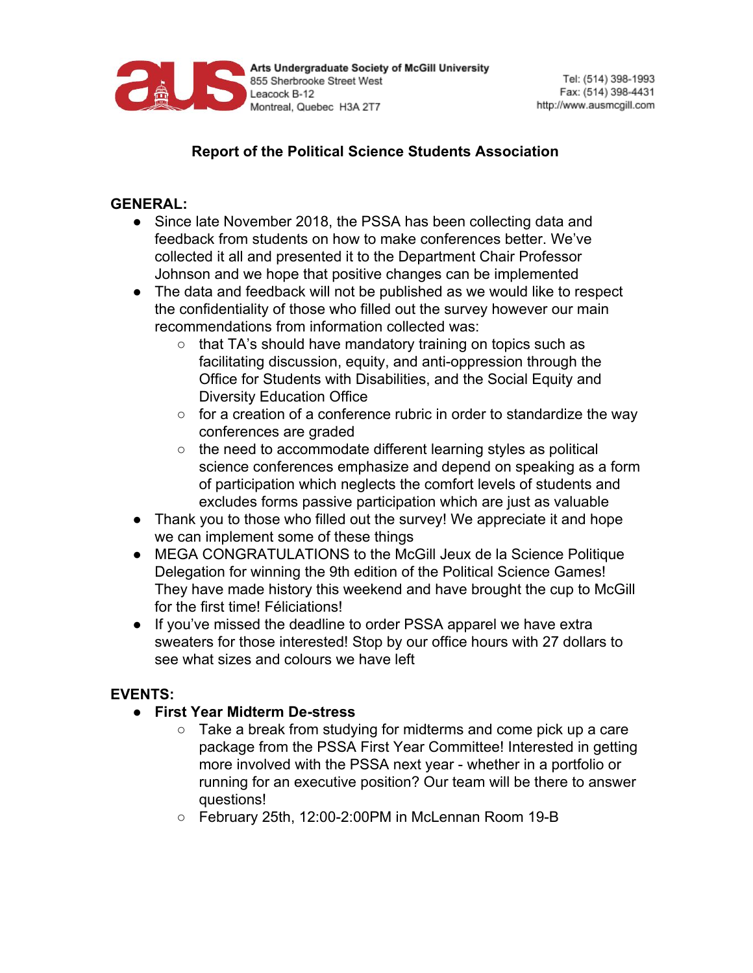

# **Report of the Political Science Students Association**

### **GENERAL:**

- Since late November 2018, the PSSA has been collecting data and feedback from students on how to make conferences better. We've collected it all and presented it to the Department Chair Professor Johnson and we hope that positive changes can be implemented
- The data and feedback will not be published as we would like to respect the confidentiality of those who filled out the survey however our main recommendations from information collected was:
	- that TA's should have mandatory training on topics such as facilitating discussion, equity, and anti-oppression through the Office for Students with Disabilities, and the Social Equity and Diversity Education Office
	- for a creation of a conference rubric in order to standardize the way conferences are graded
	- the need to accommodate different learning styles as political science conferences emphasize and depend on speaking as a form of participation which neglects the comfort levels of students and excludes forms passive participation which are just as valuable
- Thank you to those who filled out the survey! We appreciate it and hope we can implement some of these things
- MEGA CONGRATULATIONS to the McGill Jeux de la Science Politique Delegation for winning the 9th edition of the Political Science Games! They have made history this weekend and have brought the cup to McGill for the first time! Féliciations!
- If you've missed the deadline to order PSSA apparel we have extra sweaters for those interested! Stop by our office hours with 27 dollars to see what sizes and colours we have left

## **EVENTS:**

- **● First Year Midterm De-stress**
	- Take a break from studying for midterms and come pick up a care package from the PSSA First Year Committee! Interested in getting more involved with the PSSA next year - whether in a portfolio or running for an executive position? Our team will be there to answer questions!
	- February 25th, 12:00-2:00PM in McLennan Room 19-B